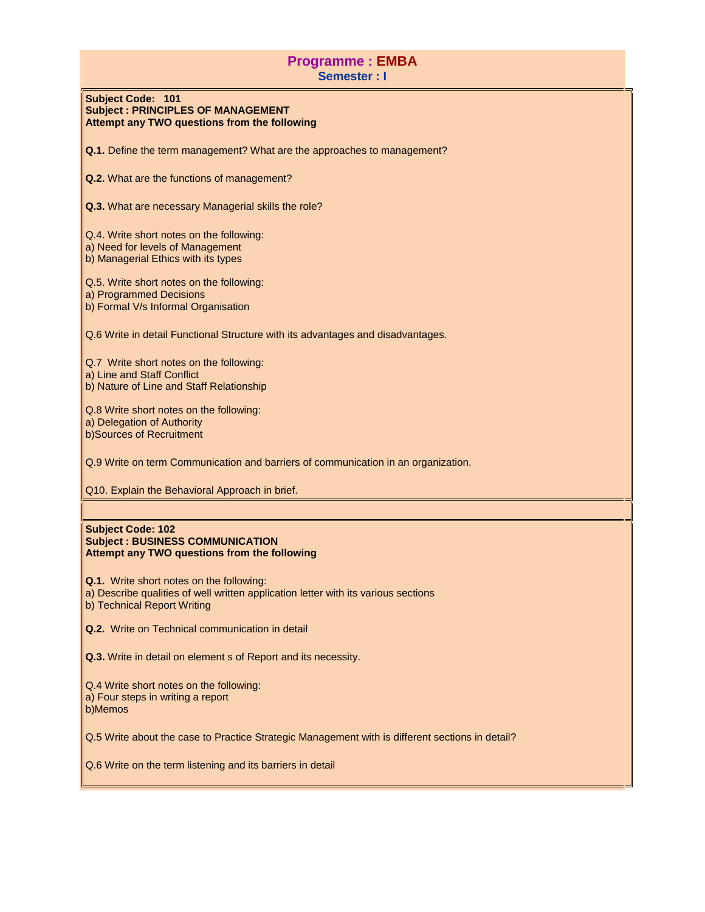# **Programme : EMBA Semester : I**

## **Subject Code: 101 Subject : PRINCIPLES OF MANAGEMENT Attempt any TWO questions from the following**

**Q.1.** Define the term management? What are the approaches to management?

**Q.2.** What are the functions of management?

**Q.3.** What are necessary Managerial skills the role?

Q.4. Write short notes on the following:

a) Need for levels of Management

b) Managerial Ethics with its types

Q.5. Write short notes on the following:

a) Programmed Decisions

b) Formal V/s Informal Organisation

Q.6 Write in detail Functional Structure with its advantages and disadvantages.

Q.7 Write short notes on the following: a) Line and Staff Conflict b) Nature of Line and Staff Relationship

Q.8 Write short notes on the following: a) Delegation of Authority b)Sources of Recruitment

Q.9 Write on term Communication and barriers of communication in an organization.

Q10. Explain the Behavioral Approach in brief.

#### **Subject Code: 102 Subject : BUSINESS COMMUNICATION Attempt any TWO questions from the following**

**Q.1.** Write short notes on the following:

a) Describe qualities of well written application letter with its various sections

b) Technical Report Writing

**Q.2.** Write on Technical communication in detail

**Q.3.** Write in detail on element s of Report and its necessity.

Q.4 Write short notes on the following: a) Four steps in writing a report

b)Memos

Q.5 Write about the case to Practice Strategic Management with is different sections in detail?

Q.6 Write on the term listening and its barriers in detail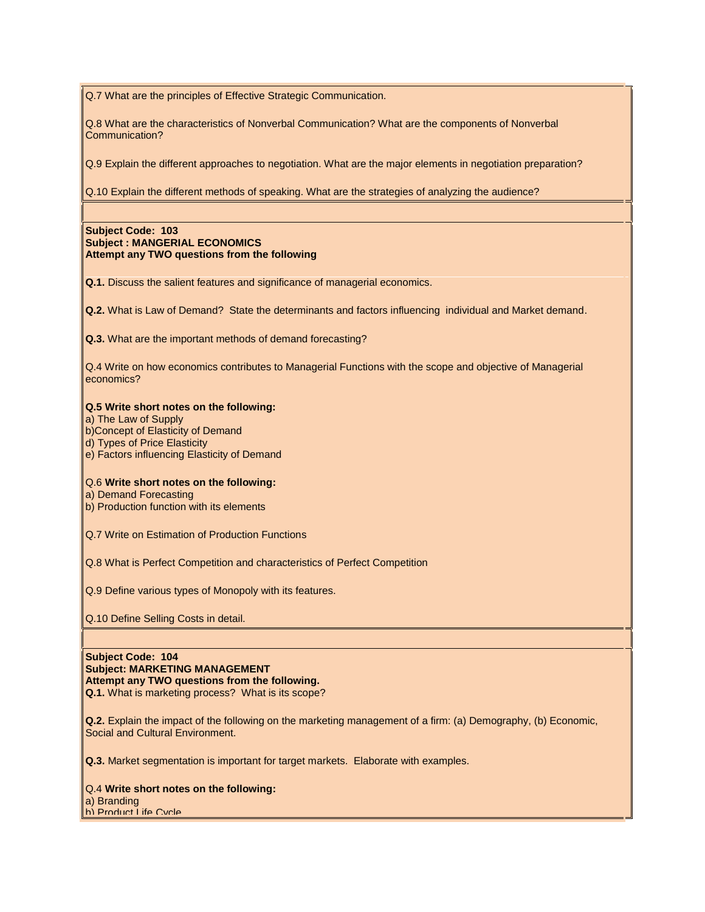Q.7 What are the principles of Effective Strategic Communication.

Q.8 What are the characteristics of Nonverbal Communication? What are the components of Nonverbal Communication?

Q.9 Explain the different approaches to negotiation. What are the major elements in negotiation preparation?

Q.10 Explain the different methods of speaking. What are the strategies of analyzing the audience?

### **Subject Code: 103 Subject : MANGERIAL ECONOMICS Attempt any TWO questions from the following**

**Q.1.** Discuss the salient features and significance of managerial economics.

**Q.2.** What is Law of Demand? State the determinants and factors influencing individual and Market demand.

**Q.3.** What are the important methods of demand forecasting?

Q.4 Write on how economics contributes to Managerial Functions with the scope and objective of Managerial economics?

### **Q.5 Write short notes on the following:**

a) The Law of Supply

- b)Concept of Elasticity of Demand
- d) Types of Price Elasticity
- e) Factors influencing Elasticity of Demand

### Q.6 **Write short notes on the following:**

a) Demand Forecasting

- b) Production function with its elements
- Q.7 Write on Estimation of Production Functions

Q.8 What is Perfect Competition and characteristics of Perfect Competition

Q.9 Define various types of Monopoly with its features.

Q.10 Define Selling Costs in detail.

**Subject Code: 104 Subject: MARKETING MANAGEMENT Attempt any TWO questions from the following. Q.1.** What is marketing process? What is its scope?

**Q.2.** Explain the impact of the following on the marketing management of a firm: (a) Demography, (b) Economic, Social and Cultural Environment.

**Q.3.** Market segmentation is important for target markets. Elaborate with examples.

Q.4 **Write short notes on the following:** a) Branding

b) Product Life Cycle